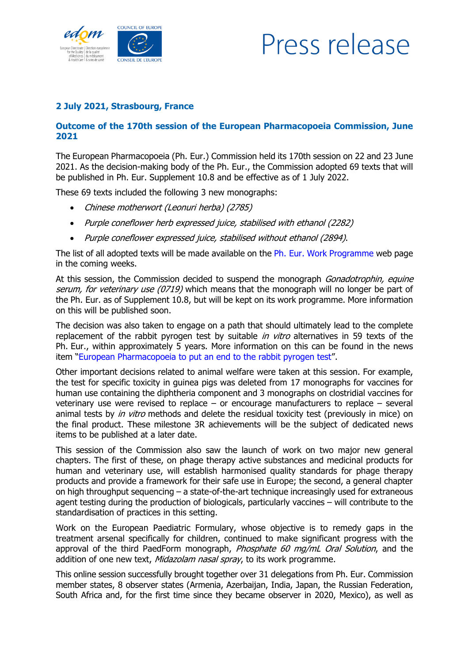

## Press release

## **2 July 2021, Strasbourg, France**

## **Outcome of the 170th session of the European Pharmacopoeia Commission, June 2021**

The European Pharmacopoeia (Ph. Eur.) Commission held its 170th session on 22 and 23 June 2021. As the decision-making body of the Ph. Eur., the Commission adopted 69 texts that will be published in Ph. Eur. Supplement 10.8 and be effective as of 1 July 2022.

These 69 texts included the following 3 new monographs:

- Chinese motherwort (Leonuri herba) (2785)
- Purple coneflower herb expressed juice, stabilised with ethanol (2282)
- Purple coneflower expressed juice, stabilised without ethanol (2894).

The list of all adopted texts will be made available on the Ph. Eur. [Work Programme](https://www.edqm.eu/en/european-pharmacopoeia-work-programme-607.html) web page in the coming weeks.

At this session, the Commission decided to suspend the monograph *Gonadotrophin, equine* serum, for veterinary use (0719) which means that the monograph will no longer be part of the Ph. Eur. as of Supplement 10.8, but will be kept on its work programme. More information on this will be published soon.

The decision was also taken to engage on a path that should ultimately lead to the complete replacement of the rabbit pyrogen test by suitable in vitro alternatives in 59 texts of the Ph. Eur., within approximately 5 years. More information on this can be found in the news item "[European Pharmacopoeia to put an end to the rabbit pyrogen test](https://www.edqm.eu/en/news/european-pharmacopoeia-put-end-rabbit-pyrogen-test)".

Other important decisions related to animal welfare were taken at this session. For example, the test for specific toxicity in guinea pigs was deleted from 17 monographs for vaccines for human use containing the diphtheria component and 3 monographs on clostridial vaccines for veterinary use were revised to replace – or encourage manufacturers to replace – several animal tests by *in vitro* methods and delete the residual toxicity test (previously in mice) on the final product. These milestone 3R achievements will be the subject of dedicated news items to be published at a later date.

This session of the Commission also saw the launch of work on two major new general chapters. The first of these, on phage therapy active substances and medicinal products for human and veterinary use, will establish harmonised quality standards for phage therapy products and provide a framework for their safe use in Europe; the second, a general chapter on high throughput sequencing – a state-of-the-art technique increasingly used for extraneous agent testing during the production of biologicals, particularly vaccines – will contribute to the standardisation of practices in this setting.

Work on the European Paediatric Formulary, whose objective is to remedy gaps in the treatment arsenal specifically for children, continued to make significant progress with the approval of the third PaedForm monograph, Phosphate 60 mg/mL Oral Solution, and the addition of one new text, Midazolam nasal spray, to its work programme.

This online session successfully brought together over 31 delegations from Ph. Eur. Commission member states, 8 observer states (Armenia, Azerbaijan, India, Japan, the Russian Federation, South Africa and, for the first time since they became observer in 2020, Mexico), as well as